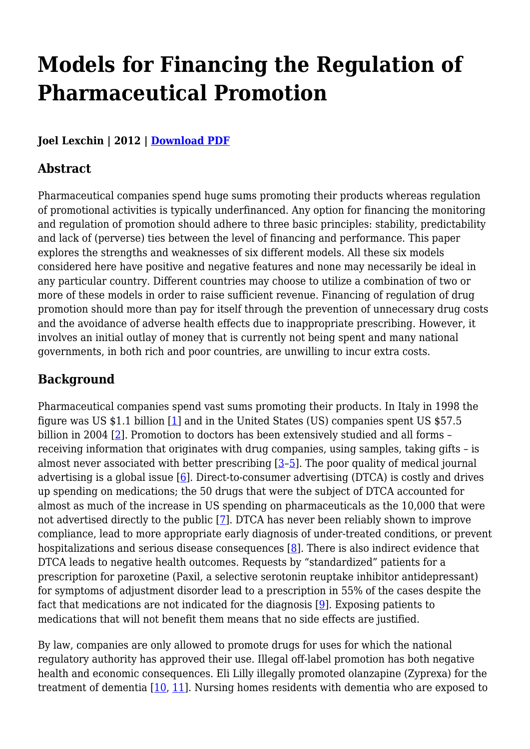# **Models for Financing the Regulation of Pharmaceutical Promotion**

## **Joel Lexchin | 2012 | [Download PDF](https://haiweb.org/wp-content/uploads/2019/12/Models-for-financing-the-regulation-of-pharmaceutical-promotion.pdf)**

## **Abstract**

Pharmaceutical companies spend huge sums promoting their products whereas regulation of promotional activities is typically underfinanced. Any option for financing the monitoring and regulation of promotion should adhere to three basic principles: stability, predictability and lack of (perverse) ties between the level of financing and performance. This paper explores the strengths and weaknesses of six different models. All these six models considered here have positive and negative features and none may necessarily be ideal in any particular country. Different countries may choose to utilize a combination of two or more of these models in order to raise sufficient revenue. Financing of regulation of drug promotion should more than pay for itself through the prevention of unnecessary drug costs and the avoidance of adverse health effects due to inappropriate prescribing. However, it involves an initial outlay of money that is currently not being spent and many national governments, in both rich and poor countries, are unwilling to incur extra costs.

# **Background**

Pharmaceutical companies spend vast sums promoting their products. In Italy in 1998 the figure was US \$1.1 billion [[1\]](https://globalizationandhealth.biomedcentral.com/articles/10.1186/1744-8603-8-24#ref-CR1) and in the United States (US) companies spent US \$57.5 billion in 2004 [\[2\]](https://globalizationandhealth.biomedcentral.com/articles/10.1186/1744-8603-8-24#ref-CR2). Promotion to doctors has been extensively studied and all forms – receiving information that originates with drug companies, using samples, taking gifts – is almost never associated with better prescribing [[3–](https://globalizationandhealth.biomedcentral.com/articles/10.1186/1744-8603-8-24#ref-CR3)[5\]](https://globalizationandhealth.biomedcentral.com/articles/10.1186/1744-8603-8-24#ref-CR5). The poor quality of medical journal advertising is a global issue  $[6]$  $[6]$ . Direct-to-consumer advertising (DTCA) is costly and drives up spending on medications; the 50 drugs that were the subject of DTCA accounted for almost as much of the increase in US spending on pharmaceuticals as the 10,000 that were not advertised directly to the public [[7\]](https://globalizationandhealth.biomedcentral.com/articles/10.1186/1744-8603-8-24#ref-CR7). DTCA has never been reliably shown to improve compliance, lead to more appropriate early diagnosis of under-treated conditions, or prevent hospitalizations and serious disease consequences [[8\]](https://globalizationandhealth.biomedcentral.com/articles/10.1186/1744-8603-8-24#ref-CR8). There is also indirect evidence that DTCA leads to negative health outcomes. Requests by "standardized" patients for a prescription for paroxetine (Paxil, a selective serotonin reuptake inhibitor antidepressant) for symptoms of adjustment disorder lead to a prescription in 55% of the cases despite the fact that medications are not indicated for the diagnosis [\[9](https://globalizationandhealth.biomedcentral.com/articles/10.1186/1744-8603-8-24#ref-CR9)]. Exposing patients to medications that will not benefit them means that no side effects are justified.

By law, companies are only allowed to promote drugs for uses for which the national regulatory authority has approved their use. Illegal off-label promotion has both negative health and economic consequences. Eli Lilly illegally promoted olanzapine (Zyprexa) for the treatment of dementia [\[10,](https://globalizationandhealth.biomedcentral.com/articles/10.1186/1744-8603-8-24#ref-CR10) [11](https://globalizationandhealth.biomedcentral.com/articles/10.1186/1744-8603-8-24#ref-CR11)]. Nursing homes residents with dementia who are exposed to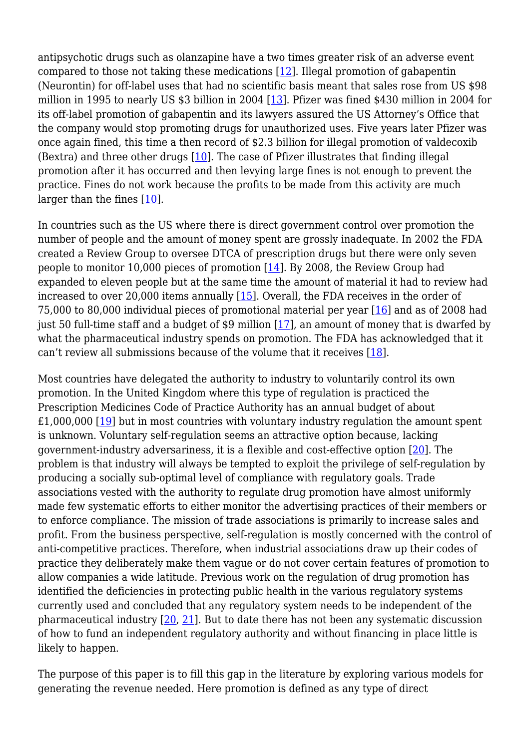antipsychotic drugs such as olanzapine have a two times greater risk of an adverse event compared to those not taking these medications [\[12\]](https://globalizationandhealth.biomedcentral.com/articles/10.1186/1744-8603-8-24#ref-CR12). Illegal promotion of gabapentin (Neurontin) for off-label uses that had no scientific basis meant that sales rose from US \$98 million in 1995 to nearly US \$3 billion in 2004 [\[13\]](https://globalizationandhealth.biomedcentral.com/articles/10.1186/1744-8603-8-24#ref-CR13). Pfizer was fined \$430 million in 2004 for its off-label promotion of gabapentin and its lawyers assured the US Attorney's Office that the company would stop promoting drugs for unauthorized uses. Five years later Pfizer was once again fined, this time a then record of \$2.3 billion for illegal promotion of valdecoxib (Bextra) and three other drugs [[10\]](https://globalizationandhealth.biomedcentral.com/articles/10.1186/1744-8603-8-24#ref-CR10). The case of Pfizer illustrates that finding illegal promotion after it has occurred and then levying large fines is not enough to prevent the practice. Fines do not work because the profits to be made from this activity are much larger than the fines  $[10]$  $[10]$  $[10]$ .

In countries such as the US where there is direct government control over promotion the number of people and the amount of money spent are grossly inadequate. In 2002 the FDA created a Review Group to oversee DTCA of prescription drugs but there were only seven people to monitor 10,000 pieces of promotion [[14\]](https://globalizationandhealth.biomedcentral.com/articles/10.1186/1744-8603-8-24#ref-CR14). By 2008, the Review Group had expanded to eleven people but at the same time the amount of material it had to review had increased to over 20,000 items annually [\[15\]](https://globalizationandhealth.biomedcentral.com/articles/10.1186/1744-8603-8-24#ref-CR15). Overall, the FDA receives in the order of 75,000 to 80,000 individual pieces of promotional material per year [[16](https://globalizationandhealth.biomedcentral.com/articles/10.1186/1744-8603-8-24#ref-CR16)] and as of 2008 had just 50 full-time staff and a budget of  $$9$  million [\[17\]](https://globalizationandhealth.biomedcentral.com/articles/10.1186/1744-8603-8-24#ref-CR17), an amount of money that is dwarfed by what the pharmaceutical industry spends on promotion. The FDA has acknowledged that it can't review all submissions because of the volume that it receives [\[18\]](https://globalizationandhealth.biomedcentral.com/articles/10.1186/1744-8603-8-24#ref-CR18).

Most countries have delegated the authority to industry to voluntarily control its own promotion. In the United Kingdom where this type of regulation is practiced the Prescription Medicines Code of Practice Authority has an annual budget of about £1,000,000 [[19\]](https://globalizationandhealth.biomedcentral.com/articles/10.1186/1744-8603-8-24#ref-CR19) but in most countries with voluntary industry regulation the amount spent is unknown. Voluntary self-regulation seems an attractive option because, lacking government-industry adversariness, it is a flexible and cost-effective option [\[20](https://globalizationandhealth.biomedcentral.com/articles/10.1186/1744-8603-8-24#ref-CR20)]. The problem is that industry will always be tempted to exploit the privilege of self-regulation by producing a socially sub-optimal level of compliance with regulatory goals. Trade associations vested with the authority to regulate drug promotion have almost uniformly made few systematic efforts to either monitor the advertising practices of their members or to enforce compliance. The mission of trade associations is primarily to increase sales and profit. From the business perspective, self-regulation is mostly concerned with the control of anti-competitive practices. Therefore, when industrial associations draw up their codes of practice they deliberately make them vague or do not cover certain features of promotion to allow companies a wide latitude. Previous work on the regulation of drug promotion has identified the deficiencies in protecting public health in the various regulatory systems currently used and concluded that any regulatory system needs to be independent of the pharmaceutical industry  $[20, 21]$  $[20, 21]$  $[20, 21]$ . But to date there has not been any systematic discussion of how to fund an independent regulatory authority and without financing in place little is likely to happen.

The purpose of this paper is to fill this gap in the literature by exploring various models for generating the revenue needed. Here promotion is defined as any type of direct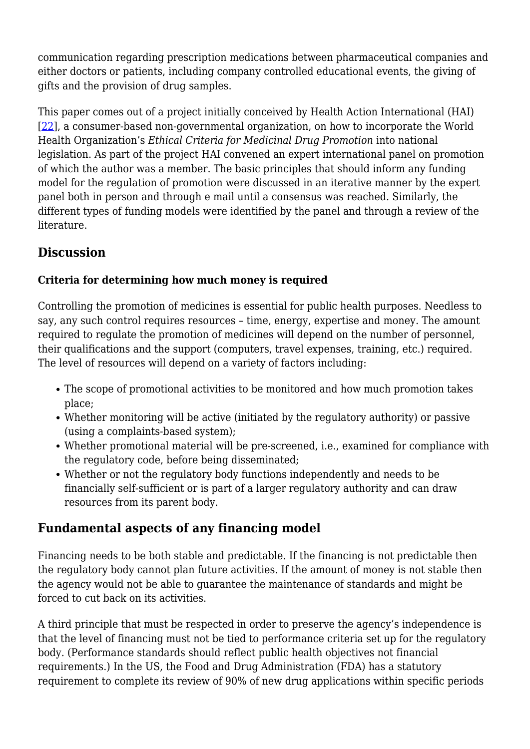communication regarding prescription medications between pharmaceutical companies and either doctors or patients, including company controlled educational events, the giving of gifts and the provision of drug samples.

This paper comes out of a project initially conceived by Health Action International (HAI) [[22](https://globalizationandhealth.biomedcentral.com/articles/10.1186/1744-8603-8-24#ref-CR22)], a consumer-based non-governmental organization, on how to incorporate the World Health Organization's *Ethical Criteria for Medicinal Drug Promotion* into national legislation. As part of the project HAI convened an expert international panel on promotion of which the author was a member. The basic principles that should inform any funding model for the regulation of promotion were discussed in an iterative manner by the expert panel both in person and through e mail until a consensus was reached. Similarly, the different types of funding models were identified by the panel and through a review of the literature.

## **Discussion**

## **Criteria for determining how much money is required**

Controlling the promotion of medicines is essential for public health purposes. Needless to say, any such control requires resources – time, energy, expertise and money. The amount required to regulate the promotion of medicines will depend on the number of personnel, their qualifications and the support (computers, travel expenses, training, etc.) required. The level of resources will depend on a variety of factors including:

- The scope of promotional activities to be monitored and how much promotion takes place;
- Whether monitoring will be active (initiated by the regulatory authority) or passive (using a complaints-based system);
- Whether promotional material will be pre-screened, i.e., examined for compliance with the regulatory code, before being disseminated;
- Whether or not the regulatory body functions independently and needs to be financially self-sufficient or is part of a larger regulatory authority and can draw resources from its parent body.

## **Fundamental aspects of any financing model**

Financing needs to be both stable and predictable. If the financing is not predictable then the regulatory body cannot plan future activities. If the amount of money is not stable then the agency would not be able to guarantee the maintenance of standards and might be forced to cut back on its activities.

A third principle that must be respected in order to preserve the agency's independence is that the level of financing must not be tied to performance criteria set up for the regulatory body. (Performance standards should reflect public health objectives not financial requirements.) In the US, the Food and Drug Administration (FDA) has a statutory requirement to complete its review of 90% of new drug applications within specific periods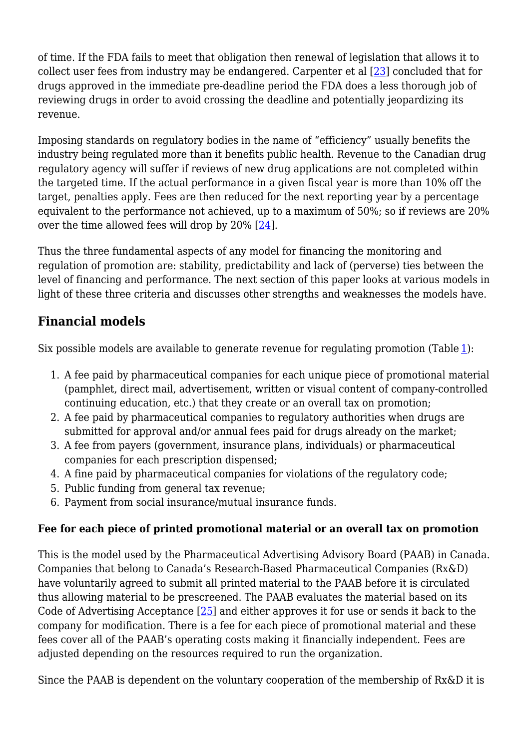of time. If the FDA fails to meet that obligation then renewal of legislation that allows it to collect user fees from industry may be endangered. Carpenter et al [[23\]](https://globalizationandhealth.biomedcentral.com/articles/10.1186/1744-8603-8-24#ref-CR23) concluded that for drugs approved in the immediate pre-deadline period the FDA does a less thorough job of reviewing drugs in order to avoid crossing the deadline and potentially jeopardizing its revenue.

Imposing standards on regulatory bodies in the name of "efficiency" usually benefits the industry being regulated more than it benefits public health. Revenue to the Canadian drug regulatory agency will suffer if reviews of new drug applications are not completed within the targeted time. If the actual performance in a given fiscal year is more than 10% off the target, penalties apply. Fees are then reduced for the next reporting year by a percentage equivalent to the performance not achieved, up to a maximum of 50%; so if reviews are 20% over the time allowed fees will drop by 20% [[24](https://globalizationandhealth.biomedcentral.com/articles/10.1186/1744-8603-8-24#ref-CR24)].

Thus the three fundamental aspects of any model for financing the monitoring and regulation of promotion are: stability, predictability and lack of (perverse) ties between the level of financing and performance. The next section of this paper looks at various models in light of these three criteria and discusses other strengths and weaknesses the models have.

# **Financial models**

Six possible models are available to generate revenue for regulating promotion (Table 1):

- 1. A fee paid by pharmaceutical companies for each unique piece of promotional material (pamphlet, direct mail, advertisement, written or visual content of company-controlled continuing education, etc.) that they create or an overall tax on promotion;
- 2. A fee paid by pharmaceutical companies to regulatory authorities when drugs are submitted for approval and/or annual fees paid for drugs already on the market;
- 3. A fee from payers (government, insurance plans, individuals) or pharmaceutical companies for each prescription dispensed;
- 4. A fine paid by pharmaceutical companies for violations of the regulatory code;
- 5. Public funding from general tax revenue;
- 6. Payment from social insurance/mutual insurance funds.

## **Fee for each piece of printed promotional material or an overall tax on promotion**

This is the model used by the Pharmaceutical Advertising Advisory Board (PAAB) in Canada. Companies that belong to Canada's Research-Based Pharmaceutical Companies (Rx&D) have voluntarily agreed to submit all printed material to the PAAB before it is circulated thus allowing material to be prescreened. The PAAB evaluates the material based on its Code of Advertising Acceptance [\[25](https://globalizationandhealth.biomedcentral.com/articles/10.1186/1744-8603-8-24#ref-CR25)] and either approves it for use or sends it back to the company for modification. There is a fee for each piece of promotional material and these fees cover all of the PAAB's operating costs making it financially independent. Fees are adjusted depending on the resources required to run the organization.

Since the PAAB is dependent on the voluntary cooperation of the membership of Rx&D it is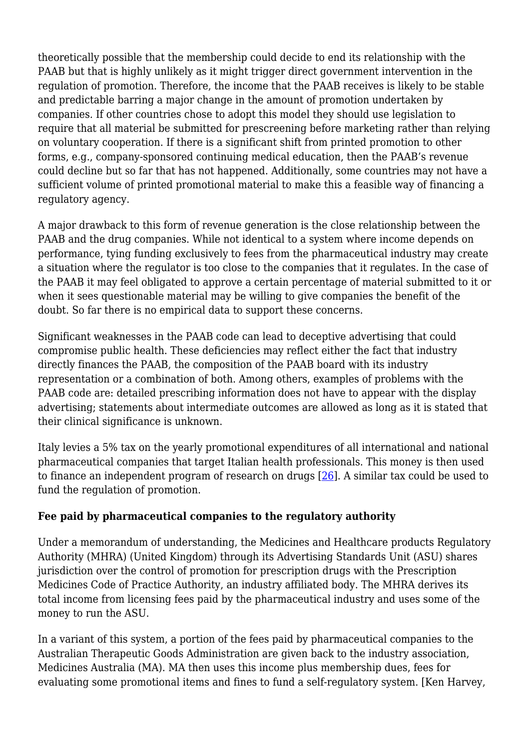theoretically possible that the membership could decide to end its relationship with the PAAB but that is highly unlikely as it might trigger direct government intervention in the regulation of promotion. Therefore, the income that the PAAB receives is likely to be stable and predictable barring a major change in the amount of promotion undertaken by companies. If other countries chose to adopt this model they should use legislation to require that all material be submitted for prescreening before marketing rather than relying on voluntary cooperation. If there is a significant shift from printed promotion to other forms, e.g., company-sponsored continuing medical education, then the PAAB's revenue could decline but so far that has not happened. Additionally, some countries may not have a sufficient volume of printed promotional material to make this a feasible way of financing a regulatory agency.

A major drawback to this form of revenue generation is the close relationship between the PAAB and the drug companies. While not identical to a system where income depends on performance, tying funding exclusively to fees from the pharmaceutical industry may create a situation where the regulator is too close to the companies that it regulates. In the case of the PAAB it may feel obligated to approve a certain percentage of material submitted to it or when it sees questionable material may be willing to give companies the benefit of the doubt. So far there is no empirical data to support these concerns.

Significant weaknesses in the PAAB code can lead to deceptive advertising that could compromise public health. These deficiencies may reflect either the fact that industry directly finances the PAAB, the composition of the PAAB board with its industry representation or a combination of both. Among others, examples of problems with the PAAB code are: detailed prescribing information does not have to appear with the display advertising; statements about intermediate outcomes are allowed as long as it is stated that their clinical significance is unknown.

Italy levies a 5% tax on the yearly promotional expenditures of all international and national pharmaceutical companies that target Italian health professionals. This money is then used to finance an independent program of research on drugs [\[26](https://globalizationandhealth.biomedcentral.com/articles/10.1186/1744-8603-8-24#ref-CR26)]. A similar tax could be used to fund the regulation of promotion.

#### **Fee paid by pharmaceutical companies to the regulatory authority**

Under a memorandum of understanding, the Medicines and Healthcare products Regulatory Authority (MHRA) (United Kingdom) through its Advertising Standards Unit (ASU) shares jurisdiction over the control of promotion for prescription drugs with the Prescription Medicines Code of Practice Authority, an industry affiliated body. The MHRA derives its total income from licensing fees paid by the pharmaceutical industry and uses some of the money to run the ASU.

In a variant of this system, a portion of the fees paid by pharmaceutical companies to the Australian Therapeutic Goods Administration are given back to the industry association, Medicines Australia (MA). MA then uses this income plus membership dues, fees for evaluating some promotional items and fines to fund a self-regulatory system. [Ken Harvey,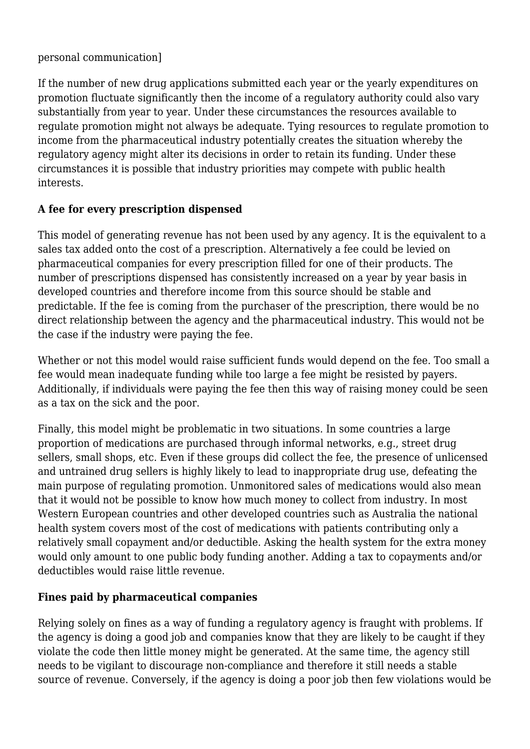#### personal communication]

If the number of new drug applications submitted each year or the yearly expenditures on promotion fluctuate significantly then the income of a regulatory authority could also vary substantially from year to year. Under these circumstances the resources available to regulate promotion might not always be adequate. Tying resources to regulate promotion to income from the pharmaceutical industry potentially creates the situation whereby the regulatory agency might alter its decisions in order to retain its funding. Under these circumstances it is possible that industry priorities may compete with public health interests.

#### **A fee for every prescription dispensed**

This model of generating revenue has not been used by any agency. It is the equivalent to a sales tax added onto the cost of a prescription. Alternatively a fee could be levied on pharmaceutical companies for every prescription filled for one of their products. The number of prescriptions dispensed has consistently increased on a year by year basis in developed countries and therefore income from this source should be stable and predictable. If the fee is coming from the purchaser of the prescription, there would be no direct relationship between the agency and the pharmaceutical industry. This would not be the case if the industry were paying the fee.

Whether or not this model would raise sufficient funds would depend on the fee. Too small a fee would mean inadequate funding while too large a fee might be resisted by payers. Additionally, if individuals were paying the fee then this way of raising money could be seen as a tax on the sick and the poor.

Finally, this model might be problematic in two situations. In some countries a large proportion of medications are purchased through informal networks, e.g., street drug sellers, small shops, etc. Even if these groups did collect the fee, the presence of unlicensed and untrained drug sellers is highly likely to lead to inappropriate drug use, defeating the main purpose of regulating promotion. Unmonitored sales of medications would also mean that it would not be possible to know how much money to collect from industry. In most Western European countries and other developed countries such as Australia the national health system covers most of the cost of medications with patients contributing only a relatively small copayment and/or deductible. Asking the health system for the extra money would only amount to one public body funding another. Adding a tax to copayments and/or deductibles would raise little revenue.

#### **Fines paid by pharmaceutical companies**

Relying solely on fines as a way of funding a regulatory agency is fraught with problems. If the agency is doing a good job and companies know that they are likely to be caught if they violate the code then little money might be generated. At the same time, the agency still needs to be vigilant to discourage non-compliance and therefore it still needs a stable source of revenue. Conversely, if the agency is doing a poor job then few violations would be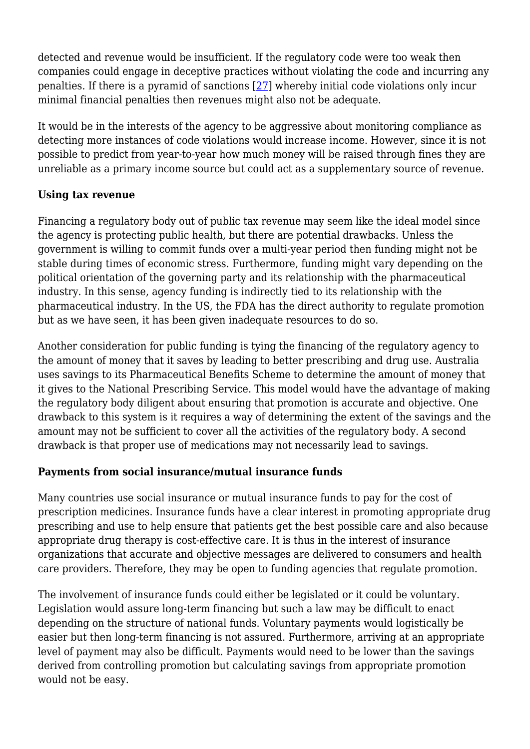detected and revenue would be insufficient. If the regulatory code were too weak then companies could engage in deceptive practices without violating the code and incurring any penalties. If there is a pyramid of sanctions [[27\]](https://globalizationandhealth.biomedcentral.com/articles/10.1186/1744-8603-8-24#ref-CR27) whereby initial code violations only incur minimal financial penalties then revenues might also not be adequate.

It would be in the interests of the agency to be aggressive about monitoring compliance as detecting more instances of code violations would increase income. However, since it is not possible to predict from year-to-year how much money will be raised through fines they are unreliable as a primary income source but could act as a supplementary source of revenue.

#### **Using tax revenue**

Financing a regulatory body out of public tax revenue may seem like the ideal model since the agency is protecting public health, but there are potential drawbacks. Unless the government is willing to commit funds over a multi-year period then funding might not be stable during times of economic stress. Furthermore, funding might vary depending on the political orientation of the governing party and its relationship with the pharmaceutical industry. In this sense, agency funding is indirectly tied to its relationship with the pharmaceutical industry. In the US, the FDA has the direct authority to regulate promotion but as we have seen, it has been given inadequate resources to do so.

Another consideration for public funding is tying the financing of the regulatory agency to the amount of money that it saves by leading to better prescribing and drug use. Australia uses savings to its Pharmaceutical Benefits Scheme to determine the amount of money that it gives to the National Prescribing Service. This model would have the advantage of making the regulatory body diligent about ensuring that promotion is accurate and objective. One drawback to this system is it requires a way of determining the extent of the savings and the amount may not be sufficient to cover all the activities of the regulatory body. A second drawback is that proper use of medications may not necessarily lead to savings.

#### **Payments from social insurance/mutual insurance funds**

Many countries use social insurance or mutual insurance funds to pay for the cost of prescription medicines. Insurance funds have a clear interest in promoting appropriate drug prescribing and use to help ensure that patients get the best possible care and also because appropriate drug therapy is cost-effective care. It is thus in the interest of insurance organizations that accurate and objective messages are delivered to consumers and health care providers. Therefore, they may be open to funding agencies that regulate promotion.

The involvement of insurance funds could either be legislated or it could be voluntary. Legislation would assure long-term financing but such a law may be difficult to enact depending on the structure of national funds. Voluntary payments would logistically be easier but then long-term financing is not assured. Furthermore, arriving at an appropriate level of payment may also be difficult. Payments would need to be lower than the savings derived from controlling promotion but calculating savings from appropriate promotion would not be easy.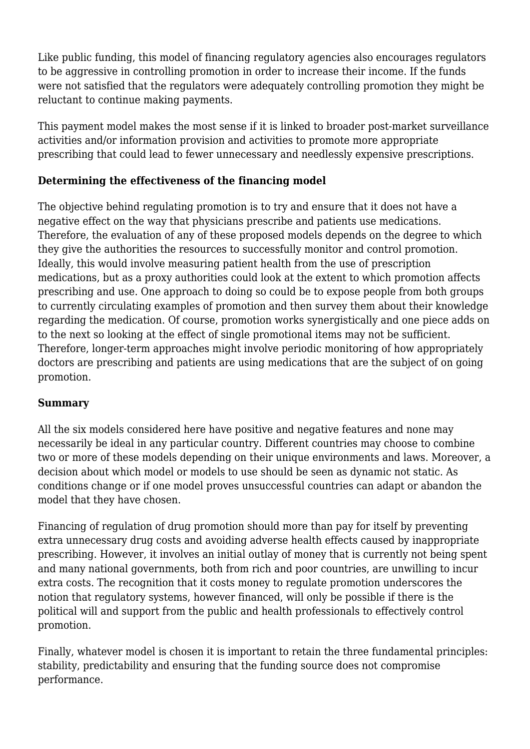Like public funding, this model of financing regulatory agencies also encourages regulators to be aggressive in controlling promotion in order to increase their income. If the funds were not satisfied that the regulators were adequately controlling promotion they might be reluctant to continue making payments.

This payment model makes the most sense if it is linked to broader post-market surveillance activities and/or information provision and activities to promote more appropriate prescribing that could lead to fewer unnecessary and needlessly expensive prescriptions.

#### **Determining the effectiveness of the financing model**

The objective behind regulating promotion is to try and ensure that it does not have a negative effect on the way that physicians prescribe and patients use medications. Therefore, the evaluation of any of these proposed models depends on the degree to which they give the authorities the resources to successfully monitor and control promotion. Ideally, this would involve measuring patient health from the use of prescription medications, but as a proxy authorities could look at the extent to which promotion affects prescribing and use. One approach to doing so could be to expose people from both groups to currently circulating examples of promotion and then survey them about their knowledge regarding the medication. Of course, promotion works synergistically and one piece adds on to the next so looking at the effect of single promotional items may not be sufficient. Therefore, longer-term approaches might involve periodic monitoring of how appropriately doctors are prescribing and patients are using medications that are the subject of on going promotion.

#### **Summary**

All the six models considered here have positive and negative features and none may necessarily be ideal in any particular country. Different countries may choose to combine two or more of these models depending on their unique environments and laws. Moreover, a decision about which model or models to use should be seen as dynamic not static. As conditions change or if one model proves unsuccessful countries can adapt or abandon the model that they have chosen.

Financing of regulation of drug promotion should more than pay for itself by preventing extra unnecessary drug costs and avoiding adverse health effects caused by inappropriate prescribing. However, it involves an initial outlay of money that is currently not being spent and many national governments, both from rich and poor countries, are unwilling to incur extra costs. The recognition that it costs money to regulate promotion underscores the notion that regulatory systems, however financed, will only be possible if there is the political will and support from the public and health professionals to effectively control promotion.

Finally, whatever model is chosen it is important to retain the three fundamental principles: stability, predictability and ensuring that the funding source does not compromise performance.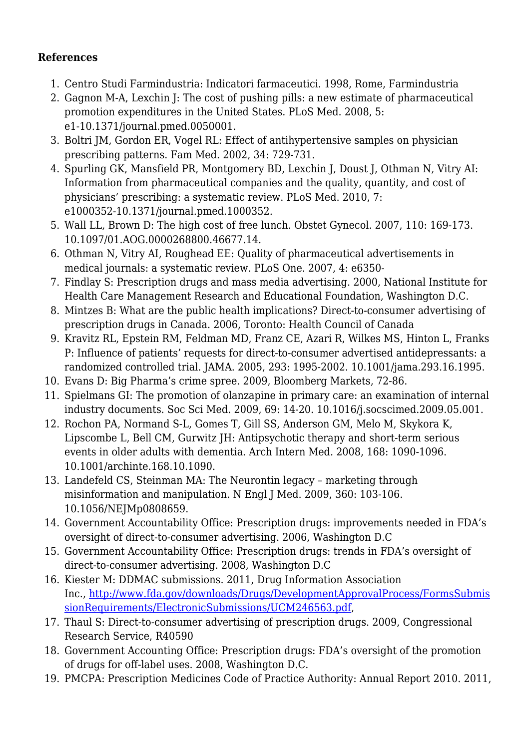#### **References**

- 1. Centro Studi Farmindustria: Indicatori farmaceutici. 1998, Rome, Farmindustria
- 2. Gagnon M-A, Lexchin J: The cost of pushing pills: a new estimate of pharmaceutical promotion expenditures in the United States. PLoS Med. 2008, 5: e1-10.1371/journal.pmed.0050001.
- 3. Boltri JM, Gordon ER, Vogel RL: Effect of antihypertensive samples on physician prescribing patterns. Fam Med. 2002, 34: 729-731.
- 4. Spurling GK, Mansfield PR, Montgomery BD, Lexchin J, Doust J, Othman N, Vitry AI: Information from pharmaceutical companies and the quality, quantity, and cost of physicians' prescribing: a systematic review. PLoS Med. 2010, 7: e1000352-10.1371/journal.pmed.1000352.
- 5. Wall LL, Brown D: The high cost of free lunch. Obstet Gynecol. 2007, 110: 169-173. 10.1097/01.AOG.0000268800.46677.14.
- 6. Othman N, Vitry AI, Roughead EE: Quality of pharmaceutical advertisements in medical journals: a systematic review. PLoS One. 2007, 4: e6350-
- 7. Findlay S: Prescription drugs and mass media advertising. 2000, National Institute for Health Care Management Research and Educational Foundation, Washington D.C.
- 8. Mintzes B: What are the public health implications? Direct-to-consumer advertising of prescription drugs in Canada. 2006, Toronto: Health Council of Canada
- 9. Kravitz RL, Epstein RM, Feldman MD, Franz CE, Azari R, Wilkes MS, Hinton L, Franks P: Influence of patients' requests for direct-to-consumer advertised antidepressants: a randomized controlled trial. JAMA. 2005, 293: 1995-2002. 10.1001/jama.293.16.1995.
- 10. Evans D: Big Pharma's crime spree. 2009, Bloomberg Markets, 72-86.
- 11. Spielmans GI: The promotion of olanzapine in primary care: an examination of internal industry documents. Soc Sci Med. 2009, 69: 14-20. 10.1016/j.socscimed.2009.05.001.
- 12. Rochon PA, Normand S-L, Gomes T, Gill SS, Anderson GM, Melo M, Skykora K, Lipscombe L, Bell CM, Gurwitz JH: Antipsychotic therapy and short-term serious events in older adults with dementia. Arch Intern Med. 2008, 168: 1090-1096. 10.1001/archinte.168.10.1090.
- 13. Landefeld CS, Steinman MA: The Neurontin legacy marketing through misinformation and manipulation. N Engl J Med. 2009, 360: 103-106. 10.1056/NEJMp0808659.
- 14. Government Accountability Office: Prescription drugs: improvements needed in FDA's oversight of direct-to-consumer advertising. 2006, Washington D.C
- 15. Government Accountability Office: Prescription drugs: trends in FDA's oversight of direct-to-consumer advertising. 2008, Washington D.C
- 16. Kiester M: DDMAC submissions. 2011, Drug Information Association Inc., [http://www.fda.gov/downloads/Drugs/DevelopmentApprovalProcess/FormsSubmis](http://www.fda.gov/downloads/Drugs/DevelopmentApprovalProcess/FormsSubmissionRequirements/ElectronicSubmissions/UCM246563.pdf) [sionRequirements/ElectronicSubmissions/UCM246563.pdf,](http://www.fda.gov/downloads/Drugs/DevelopmentApprovalProcess/FormsSubmissionRequirements/ElectronicSubmissions/UCM246563.pdf)
- 17. Thaul S: Direct-to-consumer advertising of prescription drugs. 2009, Congressional Research Service, R40590
- 18. Government Accounting Office: Prescription drugs: FDA's oversight of the promotion of drugs for off-label uses. 2008, Washington D.C.
- 19. PMCPA: Prescription Medicines Code of Practice Authority: Annual Report 2010. 2011,